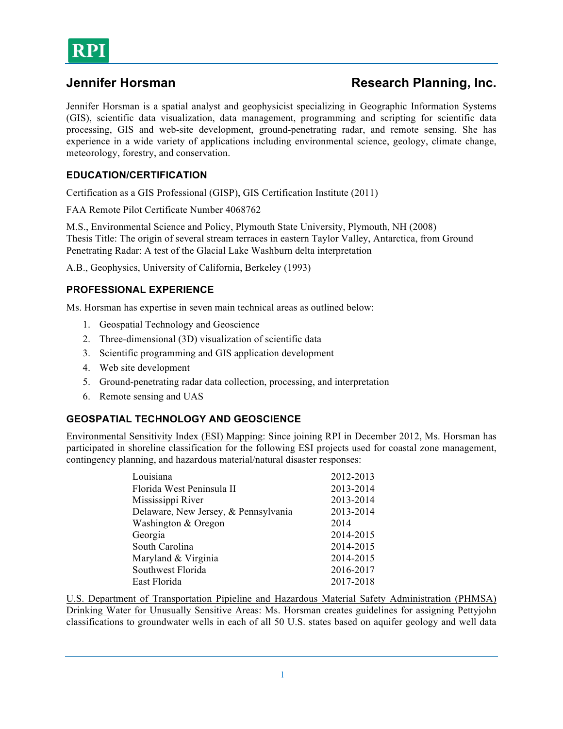

## **Jennifer Horsman Research Planning, Inc.**

Jennifer Horsman is a spatial analyst and geophysicist specializing in Geographic Information Systems (GIS), scientific data visualization, data management, programming and scripting for scientific data processing, GIS and web-site development, ground-penetrating radar, and remote sensing. She has experience in a wide variety of applications including environmental science, geology, climate change, meteorology, forestry, and conservation.

#### **EDUCATION/CERTIFICATION**

Certification as a GIS Professional (GISP), GIS Certification Institute (2011)

FAA Remote Pilot Certificate Number 4068762

M.S., Environmental Science and Policy, Plymouth State University, Plymouth, NH (2008) Thesis Title: The origin of several stream terraces in eastern Taylor Valley, Antarctica, from Ground Penetrating Radar: A test of the Glacial Lake Washburn delta interpretation

A.B., Geophysics, University of California, Berkeley (1993)

#### **PROFESSIONAL EXPERIENCE**

Ms. Horsman has expertise in seven main technical areas as outlined below:

- 1. Geospatial Technology and Geoscience
- 2. Three-dimensional (3D) visualization of scientific data
- 3. Scientific programming and GIS application development
- 4. Web site development
- 5. Ground-penetrating radar data collection, processing, and interpretation
- 6. Remote sensing and UAS

### **GEOSPATIAL TECHNOLOGY AND GEOSCIENCE**

Environmental Sensitivity Index (ESI) Mapping: Since joining RPI in December 2012, Ms. Horsman has participated in shoreline classification for the following ESI projects used for coastal zone management, contingency planning, and hazardous material/natural disaster responses:

| 2012-2013 |
|-----------|
| 2013-2014 |
| 2013-2014 |
| 2013-2014 |
| 2014      |
| 2014-2015 |
| 2014-2015 |
| 2014-2015 |
| 2016-2017 |
| 2017-2018 |
|           |

U.S. Department of Transportation Pipieline and Hazardous Material Safety Administration (PHMSA) Drinking Water for Unusually Sensitive Areas: Ms. Horsman creates guidelines for assigning Pettyjohn classifications to groundwater wells in each of all 50 U.S. states based on aquifer geology and well data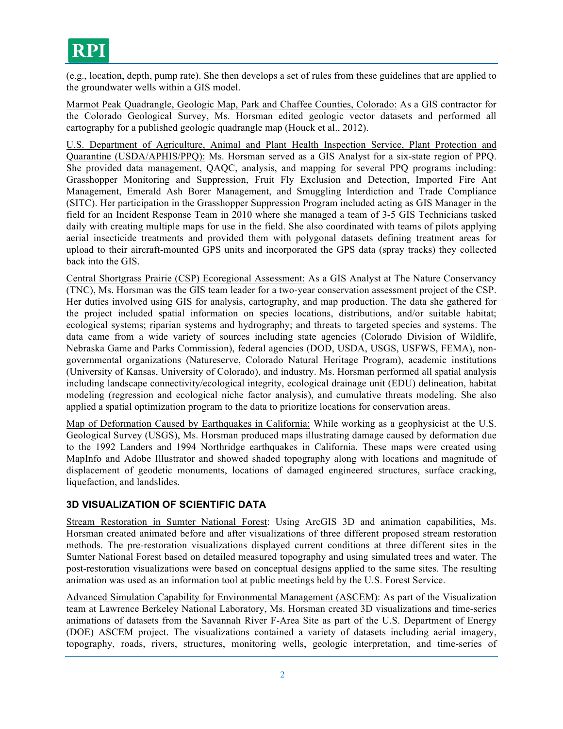# RPI

(e.g., location, depth, pump rate). She then develops a set of rules from these guidelines that are applied to the groundwater wells within a GIS model.

Marmot Peak Quadrangle, Geologic Map, Park and Chaffee Counties, Colorado: As a GIS contractor for the Colorado Geological Survey, Ms. Horsman edited geologic vector datasets and performed all cartography for a published geologic quadrangle map (Houck et al., 2012).

U.S. Department of Agriculture, Animal and Plant Health Inspection Service, Plant Protection and Quarantine (USDA/APHIS/PPQ): Ms. Horsman served as a GIS Analyst for a six-state region of PPQ. She provided data management, QAQC, analysis, and mapping for several PPQ programs including: Grasshopper Monitoring and Suppression, Fruit Fly Exclusion and Detection, Imported Fire Ant Management, Emerald Ash Borer Management, and Smuggling Interdiction and Trade Compliance (SITC). Her participation in the Grasshopper Suppression Program included acting as GIS Manager in the field for an Incident Response Team in 2010 where she managed a team of 3-5 GIS Technicians tasked daily with creating multiple maps for use in the field. She also coordinated with teams of pilots applying aerial insecticide treatments and provided them with polygonal datasets defining treatment areas for upload to their aircraft-mounted GPS units and incorporated the GPS data (spray tracks) they collected back into the GIS.

Central Shortgrass Prairie (CSP) Ecoregional Assessment: As a GIS Analyst at The Nature Conservancy (TNC), Ms. Horsman was the GIS team leader for a two-year conservation assessment project of the CSP. Her duties involved using GIS for analysis, cartography, and map production. The data she gathered for the project included spatial information on species locations, distributions, and/or suitable habitat; ecological systems; riparian systems and hydrography; and threats to targeted species and systems. The data came from a wide variety of sources including state agencies (Colorado Division of Wildlife, Nebraska Game and Parks Commission), federal agencies (DOD, USDA, USGS, USFWS, FEMA), nongovernmental organizations (Natureserve, Colorado Natural Heritage Program), academic institutions (University of Kansas, University of Colorado), and industry. Ms. Horsman performed all spatial analysis including landscape connectivity/ecological integrity, ecological drainage unit (EDU) delineation, habitat modeling (regression and ecological niche factor analysis), and cumulative threats modeling. She also applied a spatial optimization program to the data to prioritize locations for conservation areas.

Map of Deformation Caused by Earthquakes in California: While working as a geophysicist at the U.S. Geological Survey (USGS), Ms. Horsman produced maps illustrating damage caused by deformation due to the 1992 Landers and 1994 Northridge earthquakes in California. These maps were created using MapInfo and Adobe Illustrator and showed shaded topography along with locations and magnitude of displacement of geodetic monuments, locations of damaged engineered structures, surface cracking, liquefaction, and landslides.

#### **3D VISUALIZATION OF SCIENTIFIC DATA**

Stream Restoration in Sumter National Forest: Using ArcGIS 3D and animation capabilities, Ms. Horsman created animated before and after visualizations of three different proposed stream restoration methods. The pre-restoration visualizations displayed current conditions at three different sites in the Sumter National Forest based on detailed measured topography and using simulated trees and water. The post-restoration visualizations were based on conceptual designs applied to the same sites. The resulting animation was used as an information tool at public meetings held by the U.S. Forest Service.

Advanced Simulation Capability for Environmental Management (ASCEM): As part of the Visualization team at Lawrence Berkeley National Laboratory, Ms. Horsman created 3D visualizations and time-series animations of datasets from the Savannah River F-Area Site as part of the U.S. Department of Energy (DOE) ASCEM project. The visualizations contained a variety of datasets including aerial imagery, topography, roads, rivers, structures, monitoring wells, geologic interpretation, and time-series of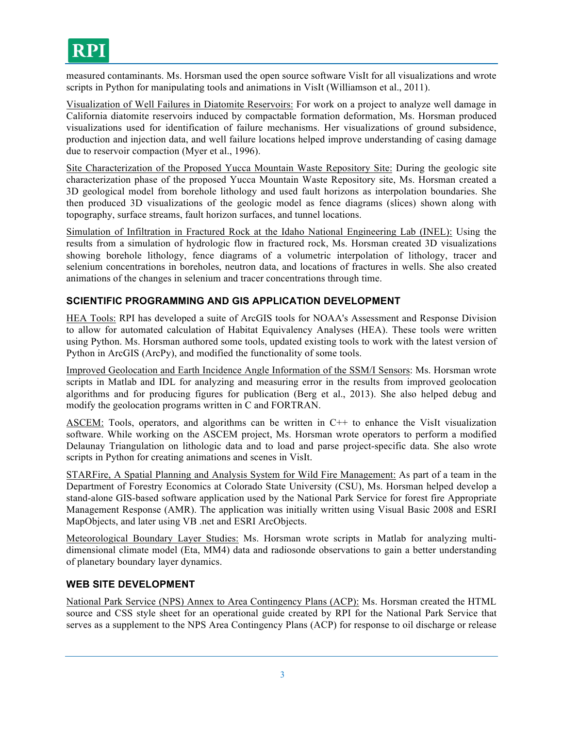measured contaminants. Ms. Horsman used the open source software VisIt for all visualizations and wrote scripts in Python for manipulating tools and animations in VisIt (Williamson et al., 2011).

Visualization of Well Failures in Diatomite Reservoirs: For work on a project to analyze well damage in California diatomite reservoirs induced by compactable formation deformation, Ms. Horsman produced visualizations used for identification of failure mechanisms. Her visualizations of ground subsidence, production and injection data, and well failure locations helped improve understanding of casing damage due to reservoir compaction (Myer et al., 1996).

Site Characterization of the Proposed Yucca Mountain Waste Repository Site: During the geologic site characterization phase of the proposed Yucca Mountain Waste Repository site, Ms. Horsman created a 3D geological model from borehole lithology and used fault horizons as interpolation boundaries. She then produced 3D visualizations of the geologic model as fence diagrams (slices) shown along with topography, surface streams, fault horizon surfaces, and tunnel locations.

Simulation of Infiltration in Fractured Rock at the Idaho National Engineering Lab (INEL): Using the results from a simulation of hydrologic flow in fractured rock, Ms. Horsman created 3D visualizations showing borehole lithology, fence diagrams of a volumetric interpolation of lithology, tracer and selenium concentrations in boreholes, neutron data, and locations of fractures in wells. She also created animations of the changes in selenium and tracer concentrations through time.

#### **SCIENTIFIC PROGRAMMING AND GIS APPLICATION DEVELOPMENT**

HEA Tools: RPI has developed a suite of ArcGIS tools for NOAA's Assessment and Response Division to allow for automated calculation of Habitat Equivalency Analyses (HEA). These tools were written using Python. Ms. Horsman authored some tools, updated existing tools to work with the latest version of Python in ArcGIS (ArcPy), and modified the functionality of some tools.

Improved Geolocation and Earth Incidence Angle Information of the SSM/I Sensors: Ms. Horsman wrote scripts in Matlab and IDL for analyzing and measuring error in the results from improved geolocation algorithms and for producing figures for publication (Berg et al., 2013). She also helped debug and modify the geolocation programs written in C and FORTRAN.

ASCEM: Tools, operators, and algorithms can be written in C++ to enhance the VisIt visualization software. While working on the ASCEM project, Ms. Horsman wrote operators to perform a modified Delaunay Triangulation on lithologic data and to load and parse project-specific data. She also wrote scripts in Python for creating animations and scenes in VisIt.

STARFire, A Spatial Planning and Analysis System for Wild Fire Management: As part of a team in the Department of Forestry Economics at Colorado State University (CSU), Ms. Horsman helped develop a stand-alone GIS-based software application used by the National Park Service for forest fire Appropriate Management Response (AMR). The application was initially written using Visual Basic 2008 and ESRI MapObjects, and later using VB .net and ESRI ArcObjects.

Meteorological Boundary Layer Studies: Ms. Horsman wrote scripts in Matlab for analyzing multidimensional climate model (Eta, MM4) data and radiosonde observations to gain a better understanding of planetary boundary layer dynamics.

#### **WEB SITE DEVELOPMENT**

National Park Service (NPS) Annex to Area Contingency Plans (ACP): Ms. Horsman created the HTML source and CSS style sheet for an operational guide created by RPI for the National Park Service that serves as a supplement to the NPS Area Contingency Plans (ACP) for response to oil discharge or release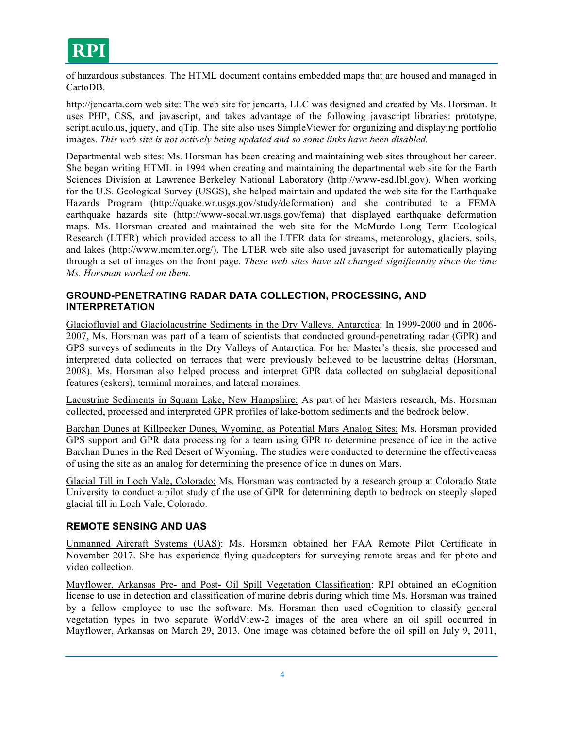

of hazardous substances. The HTML document contains embedded maps that are housed and managed in CartoDB.

http://jencarta.com web site: The web site for jencarta, LLC was designed and created by Ms. Horsman. It uses PHP, CSS, and javascript, and takes advantage of the following javascript libraries: prototype, script.aculo.us, jquery, and qTip. The site also uses SimpleViewer for organizing and displaying portfolio images. *This web site is not actively being updated and so some links have been disabled.*

Departmental web sites: Ms. Horsman has been creating and maintaining web sites throughout her career. She began writing HTML in 1994 when creating and maintaining the departmental web site for the Earth Sciences Division at Lawrence Berkeley National Laboratory (http://www-esd.lbl.gov). When working for the U.S. Geological Survey (USGS), she helped maintain and updated the web site for the Earthquake Hazards Program (http://quake.wr.usgs.gov/study/deformation) and she contributed to a FEMA earthquake hazards site (http://www-socal.wr.usgs.gov/fema) that displayed earthquake deformation maps. Ms. Horsman created and maintained the web site for the McMurdo Long Term Ecological Research (LTER) which provided access to all the LTER data for streams, meteorology, glaciers, soils, and lakes (http://www.mcmlter.org/). The LTER web site also used javascript for automatically playing through a set of images on the front page. *These web sites have all changed significantly since the time Ms. Horsman worked on them*.

#### **GROUND-PENETRATING RADAR DATA COLLECTION, PROCESSING, AND INTERPRETATION**

Glaciofluvial and Glaciolacustrine Sediments in the Dry Valleys, Antarctica: In 1999-2000 and in 2006- 2007, Ms. Horsman was part of a team of scientists that conducted ground-penetrating radar (GPR) and GPS surveys of sediments in the Dry Valleys of Antarctica. For her Master's thesis, she processed and interpreted data collected on terraces that were previously believed to be lacustrine deltas (Horsman, 2008). Ms. Horsman also helped process and interpret GPR data collected on subglacial depositional features (eskers), terminal moraines, and lateral moraines.

Lacustrine Sediments in Squam Lake, New Hampshire: As part of her Masters research, Ms. Horsman collected, processed and interpreted GPR profiles of lake-bottom sediments and the bedrock below.

Barchan Dunes at Killpecker Dunes, Wyoming, as Potential Mars Analog Sites: Ms. Horsman provided GPS support and GPR data processing for a team using GPR to determine presence of ice in the active Barchan Dunes in the Red Desert of Wyoming. The studies were conducted to determine the effectiveness of using the site as an analog for determining the presence of ice in dunes on Mars.

Glacial Till in Loch Vale, Colorado: Ms. Horsman was contracted by a research group at Colorado State University to conduct a pilot study of the use of GPR for determining depth to bedrock on steeply sloped glacial till in Loch Vale, Colorado.

#### **REMOTE SENSING AND UAS**

Unmanned Aircraft Systems (UAS): Ms. Horsman obtained her FAA Remote Pilot Certificate in November 2017. She has experience flying quadcopters for surveying remote areas and for photo and video collection.

Mayflower, Arkansas Pre- and Post- Oil Spill Vegetation Classification: RPI obtained an eCognition license to use in detection and classification of marine debris during which time Ms. Horsman was trained by a fellow employee to use the software. Ms. Horsman then used eCognition to classify general vegetation types in two separate WorldView-2 images of the area where an oil spill occurred in Mayflower, Arkansas on March 29, 2013. One image was obtained before the oil spill on July 9, 2011,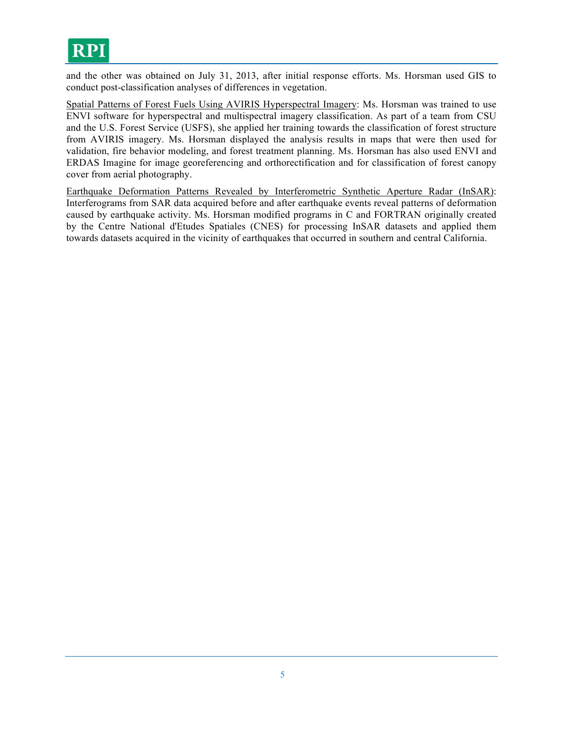

and the other was obtained on July 31, 2013, after initial response efforts. Ms. Horsman used GIS to conduct post-classification analyses of differences in vegetation.

Spatial Patterns of Forest Fuels Using AVIRIS Hyperspectral Imagery: Ms. Horsman was trained to use ENVI software for hyperspectral and multispectral imagery classification. As part of a team from CSU and the U.S. Forest Service (USFS), she applied her training towards the classification of forest structure from AVIRIS imagery. Ms. Horsman displayed the analysis results in maps that were then used for validation, fire behavior modeling, and forest treatment planning. Ms. Horsman has also used ENVI and ERDAS Imagine for image georeferencing and orthorectification and for classification of forest canopy cover from aerial photography.

Earthquake Deformation Patterns Revealed by Interferometric Synthetic Aperture Radar (InSAR): Interferograms from SAR data acquired before and after earthquake events reveal patterns of deformation caused by earthquake activity. Ms. Horsman modified programs in C and FORTRAN originally created by the Centre National d'Etudes Spatiales (CNES) for processing InSAR datasets and applied them towards datasets acquired in the vicinity of earthquakes that occurred in southern and central California.